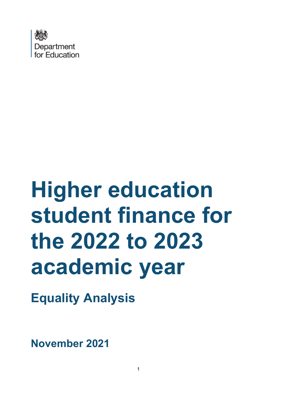

# **Higher education student finance for the 2022 to 2023 academic year**

**Equality Analysis**

**November 2021**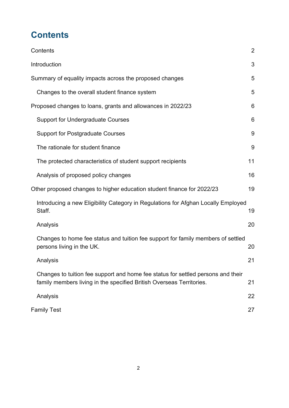# <span id="page-1-0"></span>**Contents**

| Contents                                                                                                                                                 | $\overline{2}$ |
|----------------------------------------------------------------------------------------------------------------------------------------------------------|----------------|
| Introduction                                                                                                                                             | 3              |
| Summary of equality impacts across the proposed changes                                                                                                  | 5              |
| Changes to the overall student finance system                                                                                                            | 5              |
| Proposed changes to loans, grants and allowances in 2022/23                                                                                              | 6              |
| <b>Support for Undergraduate Courses</b>                                                                                                                 | 6              |
| <b>Support for Postgraduate Courses</b>                                                                                                                  | 9              |
| The rationale for student finance                                                                                                                        | 9              |
| The protected characteristics of student support recipients                                                                                              | 11             |
| Analysis of proposed policy changes                                                                                                                      | 16             |
| Other proposed changes to higher education student finance for 2022/23                                                                                   | 19             |
| Introducing a new Eligibility Category in Regulations for Afghan Locally Employed<br>Staff.                                                              | 19             |
| Analysis                                                                                                                                                 | 20             |
| Changes to home fee status and tuition fee support for family members of settled<br>persons living in the UK.                                            | 20             |
| Analysis                                                                                                                                                 | 21             |
| Changes to tuition fee support and home fee status for settled persons and their<br>family members living in the specified British Overseas Territories. | 21             |
| Analysis                                                                                                                                                 | 22             |
| <b>Family Test</b>                                                                                                                                       | 27             |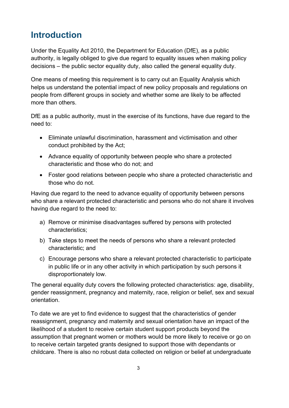# <span id="page-2-0"></span>**[Introduction](#page-2-0)**

Under the Equality Act 2010, the Department for Education (DfE), as a public authority, is legally obliged to give due regard to equality issues when making policy decisions – the public sector equality duty, also called the general equality duty.

One means of meeting this requirement is to carry out an Equality Analysis which helps us understand the potential impact of new policy proposals and regulations on people from different groups in society and whether some are likely to be affected more than others.

DfE as a public authority, must in the exercise of its functions, have due regard to the need to:

- Eliminate unlawful discrimination, harassment and victimisation and other conduct prohibited by the Act;
- Advance equality of opportunity between people who share a protected characteristic and those who do not; and
- Foster good relations between people who share a protected characteristic and those who do not.

Having due regard to the need to advance equality of opportunity between persons who share a relevant protected characteristic and persons who do not share it involves having due regard to the need to:

- a) Remove or minimise disadvantages suffered by persons with protected characteristics;
- b) Take steps to meet the needs of persons who share a relevant protected characteristic; and
- c) Encourage persons who share a relevant protected characteristic to participate in public life or in any other activity in which participation by such persons it disproportionately low.

The general equality duty covers the following protected characteristics: age, disability, gender reassignment, pregnancy and maternity, race, religion or belief, sex and sexual orientation.

To date we are yet to find evidence to suggest that the characteristics of gender reassignment, pregnancy and maternity and sexual orientation have an impact of the likelihood of a student to receive certain student support products beyond the assumption that pregnant women or mothers would be more likely to receive or go on to receive certain targeted grants designed to support those with dependants or childcare. There is also no robust data collected on religion or belief at undergraduate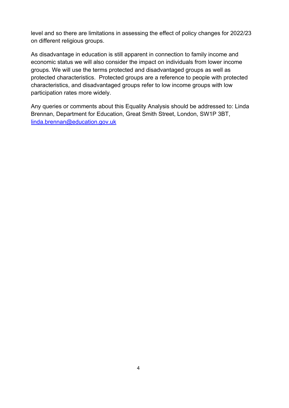level and so there are limitations in assessing the effect of policy changes for 2022/23 on different religious groups.

As disadvantage in education is still apparent in connection to family income and economic status we will also consider the impact on individuals from lower income groups. We will use the terms protected and disadvantaged groups as well as protected characteristics. Protected groups are a reference to people with protected characteristics, and disadvantaged groups refer to low income groups with low participation rates more widely.

Any queries or comments about this Equality Analysis should be addressed to: Linda Brennan, Department for Education, Great Smith Street, London, SW1P 3BT, [linda.brennan@education.gov.uk](mailto:linda.brennan@education.gov.uk)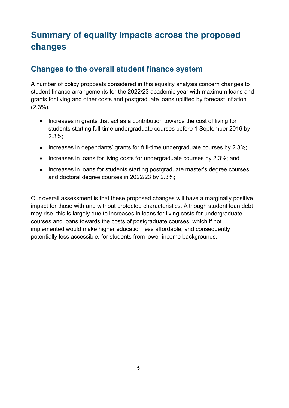# <span id="page-4-0"></span>**[Summary of equality impacts across the proposed](#page-4-0)  [changes](#page-4-0)**

## <span id="page-4-1"></span>**[Changes to the overall student finance system](#page-4-1)**

A number of policy proposals considered in this equality analysis concern changes to student finance arrangements for the 2022/23 academic year with maximum loans and grants for living and other costs and postgraduate loans uplifted by forecast inflation (2.3%).

- Increases in grants that act as a contribution towards the cost of living for students starting full-time undergraduate courses before 1 September 2016 by 2.3%;
- Increases in dependants' grants for full-time undergraduate courses by 2.3%;
- Increases in loans for living costs for undergraduate courses by 2.3%; and
- Increases in loans for students starting postgraduate master's degree courses and doctoral degree courses in 2022/23 by 2.3%;

Our overall assessment is that these proposed changes will have a marginally positive impact for those with and without protected characteristics. Although student loan debt may rise, this is largely due to increases in loans for living costs for undergraduate courses and loans towards the costs of postgraduate courses, which if not implemented would make higher education less affordable, and consequently potentially less accessible, for students from lower income backgrounds.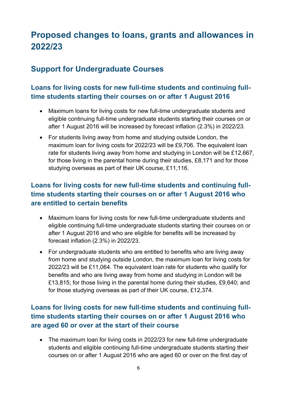# <span id="page-5-0"></span>**[Proposed changes to loans,](#page-5-0) grants and allowances in [2022/23](#page-5-0)**

# <span id="page-5-1"></span>**[Support for Undergraduate](#page-5-0) Courses**

#### **Loans for living costs for new full-time students and continuing fulltime students starting their courses on or after 1 August 2016**

- Maximum loans for living costs for new full-time undergraduate students and eligible continuing full-time undergraduate students starting their courses on or after 1 August 2016 will be increased by forecast inflation (2.3%) in 2022/23.
- For students living away from home and studying outside London, the maximum loan for living costs for 2022/23 will be £9,706. The equivalent loan rate for students living away from home and studying in London will be £12,667, for those living in the parental home during their studies, £8,171 and for those studying overseas as part of their UK course, £11,116.

### **Loans for living costs for new full-time students and continuing fulltime students starting their courses on or after 1 August 2016 who are entitled to certain benefits**

- Maximum loans for living costs for new full-time undergraduate students and eligible continuing full-time undergraduate students starting their courses on or after 1 August 2016 and who are eligible for benefits will be increased by forecast inflation (2.3%) in 2022/23.
- For undergraduate students who are entitled to benefits who are living away from home and studying outside London, the maximum loan for living costs for 2022/23 will be £11,064. The equivalent loan rate for students who qualify for benefits and who are living away from home and studying in London will be £13,815; for those living in the parental home during their studies, £9,640; and for those studying overseas as part of their UK course, £12,374.

### **Loans for living costs for new full-time students and continuing fulltime students starting their courses on or after 1 August 2016 who are aged 60 or over at the start of their course**

• The maximum loan for living costs in 2022/23 for new full-time undergraduate students and eligible continuing full-time undergraduate students starting their courses on or after 1 August 2016 who are aged 60 or over on the first day of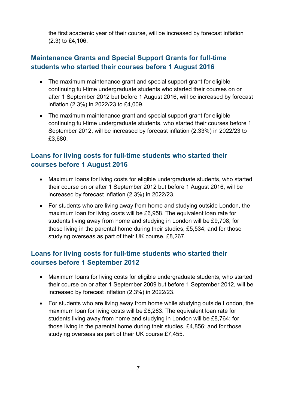the first academic year of their course, will be increased by forecast inflation (2.3) to £4,106.

#### **Maintenance Grants and Special Support Grants for full-time students who started their courses before 1 August 2016**

- The maximum maintenance grant and special support grant for eligible continuing full-time undergraduate students who started their courses on or after 1 September 2012 but before 1 August 2016, will be increased by forecast inflation (2.3%) in 2022/23 to £4,009.
- The maximum maintenance grant and special support grant for eligible continuing full-time undergraduate students, who started their courses before 1 September 2012, will be increased by forecast inflation (2.33%) in 2022/23 to £3,680.

#### **Loans for living costs for full-time students who started their courses before 1 August 2016**

- Maximum loans for living costs for eligible undergraduate students, who started their course on or after 1 September 2012 but before 1 August 2016, will be increased by forecast inflation (2.3%) in 2022/23.
- For students who are living away from home and studying outside London, the maximum loan for living costs will be £6,958. The equivalent loan rate for students living away from home and studying in London will be £9,708; for those living in the parental home during their studies, £5,534; and for those studying overseas as part of their UK course, £8,267.

#### **Loans for living costs for full-time students who started their courses before 1 September 2012**

- Maximum loans for living costs for eligible undergraduate students, who started their course on or after 1 September 2009 but before 1 September 2012, will be increased by forecast inflation (2.3%) in 2022/23.
- For students who are living away from home while studying outside London, the maximum loan for living costs will be £6,263. The equivalent loan rate for students living away from home and studying in London will be £8,764; for those living in the parental home during their studies, £4,856; and for those studying overseas as part of their UK course £7,455.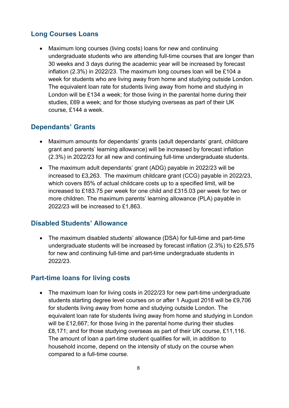#### **Long Courses Loans**

• Maximum long courses (living costs) loans for new and continuing undergraduate students who are attending full-time courses that are longer than 30 weeks and 3 days during the academic year will be increased by forecast inflation (2.3%) in 2022/23. The maximum long courses loan will be £104 a week for students who are living away from home and studying outside London. The equivalent loan rate for students living away from home and studying in London will be £134 a week; for those living in the parental home during their studies, £69 a week; and for those studying overseas as part of their UK course, £144 a week.

#### **Dependants' Grants**

- Maximum amounts for dependants' grants (adult dependants' grant, childcare grant and parents' learning allowance) will be increased by forecast inflation (2.3%) in 2022/23 for all new and continuing full-time undergraduate students.
- The maximum adult dependants' grant (ADG) payable in 2022/23 will be increased to £3,263. The maximum childcare grant (CCG) payable in 2022/23, which covers 85% of actual childcare costs up to a specified limit, will be increased to £183.75 per week for one child and £315.03 per week for two or more children. The maximum parents' learning allowance (PLA) payable in 2022/23 will be increased to £1,863.

#### **Disabled Students' Allowance**

• The maximum disabled students' allowance (DSA) for full-time and part-time undergraduate students will be increased by forecast inflation (2.3%) to £25,575 for new and continuing full-time and part-time undergraduate students in 2022/23.

#### **Part-time loans for living costs**

• The maximum loan for living costs in 2022/23 for new part-time undergraduate students starting degree level courses on or after 1 August 2018 will be £9,706 for students living away from home and studying outside London. The equivalent loan rate for students living away from home and studying in London will be £12,667; for those living in the parental home during their studies £8,171; and for those studying overseas as part of their UK course, £11,116. The amount of loan a part-time student qualifies for will, in addition to household income, depend on the intensity of study on the course when compared to a full-time course.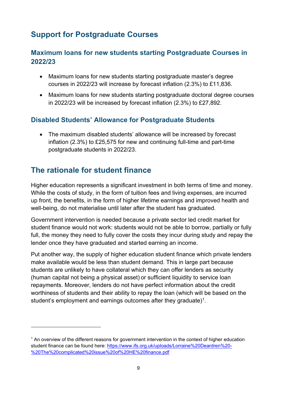# <span id="page-8-0"></span>**[Support for Postgraduate Courses](#page-5-0)**

#### **Maximum loans for new students starting Postgraduate Courses in 2022/23**

- Maximum loans for new students starting postgraduate master's degree courses in 2022/23 will increase by forecast inflation (2.3%) to £11,836.
- Maximum loans for new students starting postgraduate doctoral degree courses in 2022/23 will be increased by forecast inflation (2.3%) to £27,892.

#### **Disabled Students' Allowance for Postgraduate Students**

• The maximum disabled students' allowance will be increased by forecast inflation (2.3%) to £25,575 for new and continuing full-time and part-time postgraduate students in 2022/23.

# <span id="page-8-1"></span>**The rationale for student finance**

Higher education represents a significant investment in both terms of time and money. While the costs of study, in the form of tuition fees and living expenses, are incurred up front, the benefits, in the form of higher lifetime earnings and improved health and well-being, do not materialise until later after the student has graduated.

Government intervention is needed because a private sector led credit market for student finance would not work: students would not be able to borrow, partially or fully full, the money they need to fully cover the costs they incur during study and repay the lender once they have graduated and started earning an income.

Put another way, the supply of higher education student finance which private lenders make available would be less than student demand. This in large part because students are unlikely to have collateral which they can offer lenders as security (human capital not being a physical asset) or sufficient liquidity to service loan repayments. Moreover, lenders do not have perfect information about the credit worthiness of students and their ability to repay the loan (which will be based on the student's employment and earnings outcomes after they graduate) $^1$ .

 $1$  An overview of the different reasons for government intervention in the context of higher education student finance can be found here: [https://www.ifs.org.uk/uploads/Lorraine%20Deardren%20-](https://www.ifs.org.uk/uploads/Lorraine%20Deardren%20-%20The%20complicated%20issue%20of%20HE%20finance.pdf) [%20The%20complicated%20issue%20of%20HE%20finance.pdf](https://www.ifs.org.uk/uploads/Lorraine%20Deardren%20-%20The%20complicated%20issue%20of%20HE%20finance.pdf)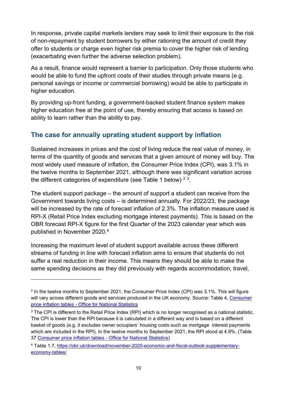In response, private capital markets lenders may seek to limit their exposure to the risk of non-repayment by student borrowers by either rationing the amount of credit they offer to students or charge even higher risk premia to cover the higher risk of lending (exacerbating even further the adverse selection problem).

As a result, finance would represent a barrier to participation. Only those students who would be able to fund the upfront costs of their studies through private means (e.g. personal savings or income or commercial borrowing) would be able to participate in higher education.

By providing up-front funding, a government-backed student finance system makes higher education free at the point of use, thereby ensuring that access is based on ability to learn rather than the ability to pay.

#### **The case for annually uprating student support by inflation**

Sustained increases in prices and the cost of living reduce the real value of money, in terms of the quantity of goods and services that a given amount of money will buy. The most widely used measure of inflation, the Consumer Price Index (CPI), was 3.1% in the twelve months to September 2021, although there was significant variation across the different categories of expenditure (see Table 1 below)  $^2$   $^3$ .

The student support package – the amount of support a student can receive from the Government towards living costs – is determined annually. For 2022/23, the package will be increased by the rate of forecast inflation of 2.3%. The inflation measure used is RPI-X (Retail Price Index excluding mortgage interest payments). This is based on the OBR forecast RPI-X figure for the first Quarter of the 2023 calendar year which was published in November 2020.<sup>4</sup>

Increasing the maximum level of student support available across these different streams of funding in line with forecast inflation aims to ensure that students do not suffer a real reduction in their income. This means they should be able to make the same spending decisions as they did previously with regards accommodation, travel,

 $2$  In the twelve months to September 2021, the Consumer Price Index (CPI) was 3.1%. This will figure will vary across different goods and services produced in the UK economy. Source: Table 4, Consumer price inflation tables - [Office for National Statistics](https://www.ons.gov.uk/economy/inflationandpriceindices/datasets/consumerpriceinflation)

<sup>&</sup>lt;sup>3</sup> The CPI is different to the Retail Price Index (RPI) which is no longer recognised as a national statistic. The CPI is lower than the RPI because it is calculated in a different way and is based on a different basket of goods (e.g. it excludes owner occupiers' housing costs such as mortgage interest payments which are included in the RPI). In the twelve months to September 2021, the RPI stood at 4.9%. (Table 37 [Consumer price inflation tables -](https://www.ons.gov.uk/economy/inflationandpriceindices/datasets/consumerpriceinflation) Office for National Statistics)

<sup>4</sup> Table 1.7, [https://obr.uk/download/november-2020-economic-and-fiscal-outlook-supplementary](https://obr.uk/download/november-2020-economic-and-fiscal-outlook-supplementary-economy-tables/)[economy-tables/](https://obr.uk/download/november-2020-economic-and-fiscal-outlook-supplementary-economy-tables/)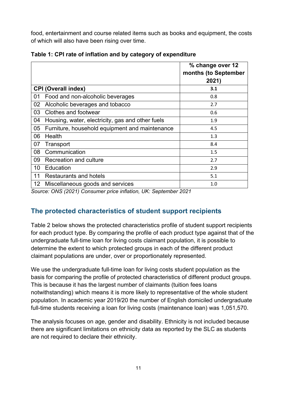food, entertainment and course related items such as books and equipment, the costs of which will also have been rising over time.

|    |                                                  | % change over 12<br>months (to September<br>2021) |
|----|--------------------------------------------------|---------------------------------------------------|
|    | <b>CPI (Overall index)</b>                       | 3.1                                               |
| 01 | Food and non-alcoholic beverages                 | 0.8                                               |
| 02 | Alcoholic beverages and tobacco                  | 2.7                                               |
| 03 | Clothes and footwear                             | 0.6                                               |
| 04 | Housing, water, electricity, gas and other fuels | 1.9                                               |
| 05 | Furniture, household equipment and maintenance   | 4.5                                               |
| 06 | Health                                           | 1.3                                               |
| 07 | Transport                                        | 8.4                                               |
| 08 | Communication                                    | 1.5                                               |
| 09 | <b>Recreation and culture</b>                    | 2.7                                               |
| 10 | Education                                        | 2.9                                               |
| 11 | <b>Restaurants and hotels</b>                    | 5.1                                               |
|    | 12 Miscellaneous goods and services              | 1.0                                               |

|  |  |  |  |  |  | Table 1: CPI rate of inflation and by category of expenditure |
|--|--|--|--|--|--|---------------------------------------------------------------|
|--|--|--|--|--|--|---------------------------------------------------------------|

*[Source: ONS \(2021\) Consumer price inflation, UK: September 2021](#page-5-0)*

#### <span id="page-10-0"></span>**The protected characteristics of student support recipients**

Table 2 below shows the protected characteristics profile of student support recipients for each product type. By comparing the profile of each product type against that of the undergraduate full-time loan for living costs claimant population, it is possible to determine the extent to which protected groups in each of the different product claimant populations are under, over or proportionately represented.

We use the undergraduate full-time loan for living costs student population as the basis for comparing the profile of protected characteristics of different product groups. This is because it has the largest number of claimants (tuition fees loans notwithstanding) which means it is more likely to representative of the whole student population. In academic year 2019/20 the number of English domiciled undergraduate full-time students receiving a loan for living costs (maintenance loan) was 1,051,570.

The analysis focuses on age, gender and disability. Ethnicity is not included because there are significant limitations on ethnicity data as reported by the SLC as students are not required to declare their ethnicity.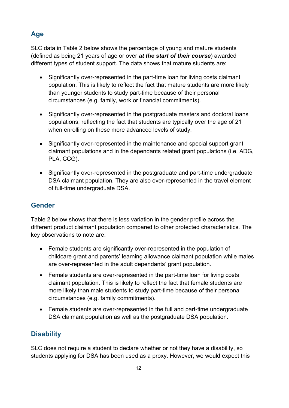## **Age**

SLC data in Table 2 below shows the percentage of young and mature students (defined as being 21 years of age or over *at the start of their course*) awarded different types of student support. The data shows that mature students are:

- Significantly over-represented in the part-time loan for living costs claimant population. This is likely to reflect the fact that mature students are more likely than younger students to study part-time because of their personal circumstances (e.g. family, work or financial commitments).
- Significantly over-represented in the postgraduate masters and doctoral loans populations, reflecting the fact that students are typically over the age of 21 when enrolling on these more advanced levels of study.
- Significantly over-represented in the maintenance and special support grant claimant populations and in the dependants related grant populations (i.e. ADG, PLA, CCG).
- Significantly over-represented in the postgraduate and part-time undergraduate DSA claimant population. They are also over-represented in the travel element of full-time undergraduate DSA.

#### **Gender**

Table 2 below shows that there is less variation in the gender profile across the different product claimant population compared to other protected characteristics. The key observations to note are:

- Female students are significantly over-represented in the population of childcare grant and parents' learning allowance claimant population while males are over-represented in the adult dependants' grant population.
- Female students are over-represented in the part-time loan for living costs claimant population. This is likely to reflect the fact that female students are more likely than male students to study part-time because of their personal circumstances (e.g. family commitments).
- Female students are over-represented in the full and part-time undergraduate DSA claimant population as well as the postgraduate DSA population.

## **Disability**

SLC does not require a student to declare whether or not they have a disability, so students applying for DSA has been used as a proxy. However, we would expect this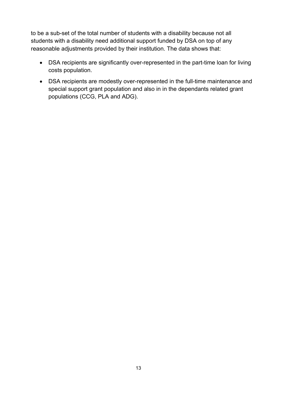to be a sub-set of the total number of students with a disability because not all students with a disability need additional support funded by DSA on top of any reasonable adjustments provided by their institution. The data shows that:

- DSA recipients are significantly over-represented in the part-time loan for living costs population.
- DSA recipients are modestly over-represented in the full-time maintenance and special support grant population and also in in the dependants related grant populations (CCG, PLA and ADG).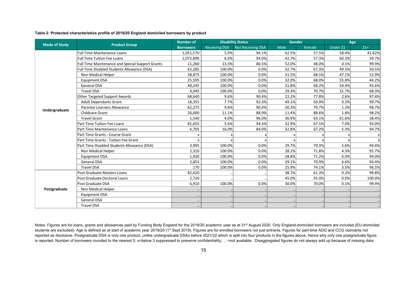#### **Table 2: Protected characteristics profile of 2019/20 England domiciled borrowers by product**

|                      |                                                  | <b>Number of</b> |                      | <b>Disability Status</b> | Gender |        | Age      |        |
|----------------------|--------------------------------------------------|------------------|----------------------|--------------------------|--------|--------|----------|--------|
| <b>Mode of Study</b> | <b>Product Group</b>                             | <b>Borrowers</b> | <b>Receiving DSA</b> | Not Receiving DSA        | Male   | Female | Under 21 | $21+$  |
|                      | <b>Full Time Maintenance Loans</b>               | 1,051,570        | 5.9%                 | 94.1%                    | 42.5%  | 57.5%  | 58.4%    | 41.62% |
|                      | Full Time Tuition Fee Loans                      | 1,072,890        | 6.0%                 | 94.0%                    | 42.7%  | 57.3%  | 60.3%    | 39.7%  |
|                      | Full Time Maintenance and Special Support Grants | 11,260           | 13.5%                | 86.5%                    | 52.0%  | 48.0%  | 0.1%     | 99.9%  |
|                      | Full Time Disabled Students Allowance (DSA)      | 62,285           | 100.0%               | 0.0%                     | 32.7%  | 67.3%  | 49.5%    | 50.5%  |
|                      | Non Medical Helper                               | 38,875           | 100.0%               | 0.0%                     | 31.5%  | 68.5%  | 47.1%    | 52.9%  |
|                      | <b>Equipment DSA</b>                             | 25,595           | 100.0%               | 0.0%                     | 32.0%  | 68.0%  | 55.8%    | 44.2%  |
|                      | <b>General DSA</b>                               | 40,245           | 100.0%               | 0.0%                     | 31.8%  | 68.2%  | 54.4%    | 45.6%  |
|                      | <b>Travel DSA</b>                                | 4,045            | 100.0%               | 0.0%                     | 29.3%  | 70.7%  | 31.7%    | 68.3%  |
|                      | Other Targeted Support Awards                    | 68,640           | 9.6%                 | 90.4%                    | 22.2%  | 77.8%  | 2.6%     | 97.4%  |
|                      | <b>Adult Dependants Grant</b>                    | 18,355           | 7.7%                 | 92.3%                    | 49.1%  | 50.9%  | 0.3%     | 99.7%  |
|                      | Parental Learners Allowance                      | 62,375           | 9.6%                 | 90.4%                    | 20.3%  | 79.7%  | 1.3%     | 98.7%  |
| Undergraduate        | <b>Childcare Grant</b>                           | 26,000           | 11.1%                | 88.9%                    | 11.4%  | 88.6%  | 1.8%     | 98.2%  |
|                      | <b>Travel Grant</b>                              | 1,540            | 4.0%                 | 96.0%                    | 36.9%  | 63.1%  | 61.6%    | 38.4%  |
|                      | Part Time Tuition Fee Loans                      | 81,655           | 5.6%                 | 94.4%                    | 32.9%  | 67.1%  | 7.0%     | 93.0%  |
|                      | Part Time Maintenance Loans                      | 6,705            | 16.0%                | 84.0%                    | 32.8%  | 67.2%  | 5.3%     | 94.7%  |
|                      | Part Time Grants - Course Grant                  | X                |                      |                          |        |        |          |        |
|                      | Part Time Grants - Tuition Fee Grant             | X                |                      |                          |        |        |          | X      |
|                      | Part Time Disabled Students Allowance (DSA)      | 3,995            | 100.0%               | 0.0%                     | 29.7%  | 70.3%  | 5.6%     | 94.4%  |
|                      | Non Medical Helper                               | 2,310            | 100.0%               | 0.0%                     | 28.2%  | 71.8%  | 4.3%     | 95.7%  |
|                      | Equipment DSA                                    | 1,920            | 100.0%               | 0.0%                     | 28.8%  | 71.2%  | 6.0%     | 94.0%  |
|                      | <b>General DSA</b>                               | 2,855            | 100.0%               | 0.0%                     | 29.1%  | 70.9%  | 6.6%     | 93.4%  |
|                      | <b>Travel DSA</b>                                | 170              | 100.0%               | 0.0%                     | 25.9%  | 74.1%  | 3.5%     | 96.5%  |
|                      | Post Graduate Masters Loans                      | 82,620           |                      |                          | 38.7%  | 61.3%  | 0.2%     | 99.8%  |
| Postgraduate         | Post Graduate Doctoral Loans                     | 2,720            |                      |                          | 45.0%  | 55.0%  | 0.0%     | 100.0% |
|                      | Post Graduate DSA                                | 6,910            | 100.0%               | 0.0%                     | 30.0%  | 70.0%  | 0.1%     | 99.9%  |
|                      | Non Medical Helper                               |                  |                      |                          |        |        |          |        |
|                      | <b>Equipment DSA</b>                             |                  |                      |                          |        |        |          |        |
|                      | <b>General DSA</b>                               |                  |                      |                          |        |        |          |        |
|                      | <b>Travel DSA</b>                                |                  |                      |                          |        |        |          |        |

Notes: Figures are for loans, grants and allowances paid by Funding Body England for the 2019/20 academic year as at 31<sup>st</sup> August 2020. Only England-domiciled borrowers are included (EU-domiciled students are excluded). Age is defined as at start of academic year 2019/20 (1<sup>st</sup> Sept 2019). Figures are for enrolled borrowers not just entrants. Figures for part-time ADG and CCG claimants not reported as disclosive. Postgraduate DSA is only one product, unlike undergraduate DSAs before 2021/22 which is split into four products in the figures above, hence why only one postgraduate figure is reported. Number of borrowers rounded to the nearest 5, x=below 3 suppressed to preserve confidentiality, .. =not available . Disaggregated figures do not always add up because of missing data.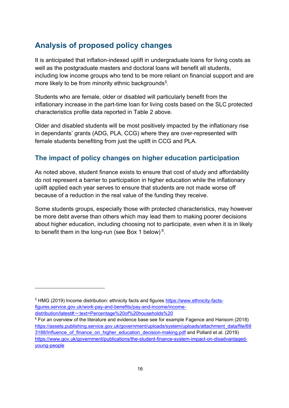## <span id="page-15-0"></span>**Analysis of proposed policy changes**

It is anticipated that inflation-indexed uplift in undergraduate loans for living costs as well as the postgraduate masters and doctoral loans will benefit all students, including low income groups who tend to be more reliant on financial support and are more likely to be from minority ethnic backgrounds<sup>5</sup>.

Students who are female, older or disabled will particularly benefit from the inflationary increase in the part-time loan for living costs based on the SLC protected characteristics profile data reported in Table 2 above.

Older and disabled students will be most positively impacted by the inflationary rise in dependants' grants (ADG, PLA, CCG) where they are over-represented with female students benefiting from just the uplift in CCG and PLA.

#### **The impact of policy changes on higher education participation**

As noted above, student finance exists to ensure that cost of study and affordability do not represent a barrier to participation in higher education while the inflationary uplift applied each year serves to ensure that students are not made worse off because of a reduction in the real value of the funding they receive.

Some students groups, especially those with protected characteristics, may however be more debt averse than others which may lead them to making poorer decisions about higher education, including choosing not to participate, even when it is in likely to benefit them in the long-run (see Box 1 below)  $6$ .

<sup>5</sup> HMG (2019) Income distribution: ethnicity facts and figures [https://www.ethnicity-facts](https://www.ethnicity-facts-figures.service.gov.uk/work-pay-and-benefits/pay-and-income/income-distribution/latest#:~:text=Percentage%20of%20households%20)[figures.service.gov.uk/work-pay-and-benefits/pay-and-income/income-](https://www.ethnicity-facts-figures.service.gov.uk/work-pay-and-benefits/pay-and-income/income-distribution/latest#:~:text=Percentage%20of%20households%20)

[distribution/latest#:~:text=Percentage%20of%20households%20](https://www.ethnicity-facts-figures.service.gov.uk/work-pay-and-benefits/pay-and-income/income-distribution/latest#:~:text=Percentage%20of%20households%20)

 $6$  For an overview of the literature and evidence base see for example Fagence and Hansom (2018) [https://assets.publishing.service.gov.uk/government/uploads/system/uploads/attachment\\_data/file/69](https://assets.publishing.service.gov.uk/government/uploads/system/uploads/attachment_data/file/693188/Influence_of_finance_on_higher_education_decision-making.pdf) 3188/Influence of finance on higher education decision-making.pdf and Pollard et al. (2019) [https://www.gov.uk/government/publications/the-student-finance-system-impact-on-disadvantaged](https://www.gov.uk/government/publications/the-student-finance-system-impact-on-disadvantaged-young-people)[young-people](https://www.gov.uk/government/publications/the-student-finance-system-impact-on-disadvantaged-young-people)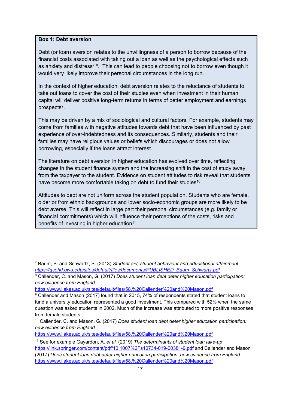#### **Box 1: Debt aversion**

Debt (or loan) aversion relates to the unwillingness of a person to borrow because of the financial costs associated with taking out a loan as well as the psychological effects such as anxiety and distress<sup>7 8</sup>. This can lead to people choosing not to borrow even though it would very likely improve their personal circumstances in the long run.

In the context of higher education, debt aversion relates to the reluctance of students to take out loans to cover the cost of their studies even when investment in their human capital will deliver positive long-term returns in terms of better employment and earnings prospects<sup>9</sup>.

This may be driven by a mix of sociological and cultural factors. For example, students may come from families with negative attitudes towards debt that have been influenced by past experience of over-indebtedness and its consequences. Similarly, students and their families may have religious values or beliefs which discourages or does not allow borrowing, especially if the loans attract interest.

The literature on debt aversion in higher education has evolved over time, reflecting changes in the student finance system and the increasing shift in the cost of study away from the taxpayer to the student. Evidence on student attitudes to risk reveal that students have become more comfortable taking on debt to fund their studies<sup>10</sup>.

Attitudes to debt are not uniform across the student population. Students who are female, older or from ethnic backgrounds and lower socio-economic groups are more likely to be debt averse. This will reflect in large part their personal circumstances (e.g. family or financial commitments) which will influence their perceptions of the costs, risks and benefits of investing in higher education<sup>11</sup>.

<https://www.llakes.ac.uk/sites/default/files/58.%20Callender%20and%20Mason.pdf>

<sup>7</sup> Baum, S. and Schwartz, S. (2013) *Student aid, student behaviour and educational attainment [https://gsehd.gwu.edu/sites/default/files/documents/PUBLISHED\\_Baum\\_Schwartz.pdf](https://gsehd.gwu.edu/sites/default/files/documents/PUBLISHED_Baum_Schwartz.pdf)*

<sup>8</sup> Callender, C. and Mason, G. (2017) *Does student loan debt deter higher education participation: new evidence from England* 

<https://www.llakes.ac.uk/sites/default/files/58.%20Callender%20and%20Mason.pdf>

<sup>9</sup> Callender and Mason (2017) found that in 2015, 74% of respondents stated that student loans to fund a university education represented a good investment. This compared with 52% when the same question was asked students in 2002. Much of the increase was attributed to more positive responses from female students.

<sup>10</sup> Callender, C. and Mason, G. (2017) *Does student loan debt deter higher education participation: new evidence from England* 

<sup>11</sup> See for example Gayardon, A. *et al.* (2019) *The determinants of student loan take-up* <https://link.springer.com/content/pdf/10.1007%2Fs10734-019-00381-9.pdf> and Callender and Mason (2017) *Does student loan debt deter higher education participation: new evidence from England*  <https://www.llakes.ac.uk/sites/default/files/58.%20Callender%20and%20Mason.pdf>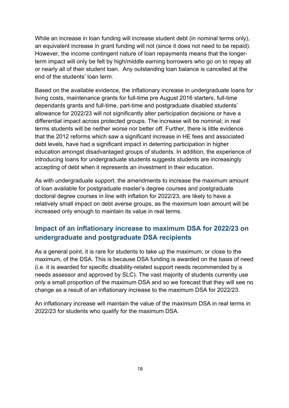While an increase in loan funding will increase student debt (in nominal terms only), an equivalent increase in grant funding will not (since it does not need to be repaid). However, the income contingent nature of loan repayments means that the longerterm impact will only be felt by high/middle earning borrowers who go on to repay all or nearly all of their student loan. Any outstanding loan balance is cancelled at the end of the students' loan term.

Based on the available evidence, the inflationary increase in undergraduate loans for living costs, maintenance grants for full-time pre August 2016 starters, full-time dependants grants and full-time, part-time and postgraduate disabled students' allowance for 2022/23 will not significantly alter participation decisions or have a differential impact across protected groups. The increase will be nominal; in real terms students will be neither worse nor better off. Further, there is little evidence that the 2012 reforms which saw a significant increase in HE fees and associated debt levels, have had a significant impact in deterring participation in higher education amongst disadvantaged groups of students. In addition, the experience of introducing loans for undergraduate students suggests students are increasingly accepting of debt when it represents an investment in their education.

As with undergraduate support, the amendments to increase the maximum amount of loan available for postgraduate master's degree courses and postgraduate doctoral degree courses in line with inflation for 2022/23, are likely to have a relatively small impact on debt averse groups, as the maximum loan amount will be increased only enough to maintain its value in real terms.

#### **Impact of an inflationary increase to maximum DSA for 2022/23 on undergraduate and postgraduate DSA recipients**

As a general point, it is rare for students to take up the maximum, or close to the maximum, of the DSA. This is because DSA funding is awarded on the basis of need (i.e. it is awarded for specific disability-related support needs recommended by a needs assessor and approved by SLC). The vast majority of students currently use only a small proportion of the maximum DSA and so we forecast that they will see no change as a result of an inflationary increase to the maximum DSA for 2022/23.

An inflationary increase will maintain the value of the maximum DSA in real terms in 2022/23 for students who qualify for the maximum DSA.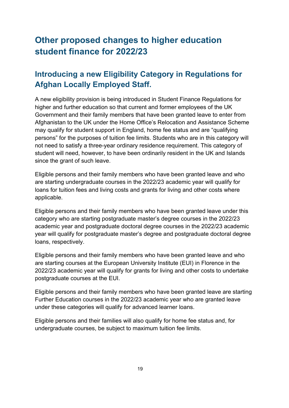# <span id="page-18-0"></span>**Other proposed changes to higher education student finance for 2022/23**

# <span id="page-18-1"></span>**Introducing a new Eligibility Category in Regulations for Afghan Locally Employed Staff.**

A new eligibility provision is being introduced in Student Finance Regulations for higher and further education so that current and former employees of the UK Government and their family members that have been granted leave to enter from Afghanistan to the UK under the Home Office's Relocation and Assistance Scheme may qualify for student support in England, home fee status and are "qualifying persons" for the purposes of tuition fee limits. Students who are in this category will not need to satisfy a three-year ordinary residence requirement. This category of student will need, however, to have been ordinarily resident in the UK and Islands since the grant of such leave.

Eligible persons and their family members who have been granted leave and who are starting undergraduate courses in the 2022/23 academic year will qualify for loans for tuition fees and living costs and grants for living and other costs where applicable.

Eligible persons and their family members who have been granted leave under this category who are starting postgraduate master's degree courses in the 2022/23 academic year and postgraduate doctoral degree courses in the 2022/23 academic year will qualify for postgraduate master's degree and postgraduate doctoral degree loans, respectively.

Eligible persons and their family members who have been granted leave and who are starting courses at the European University Institute (EUI) in Florence in the 2022/23 academic year will qualify for grants for living and other costs to undertake postgraduate courses at the EUI.

Eligible persons and their family members who have been granted leave are starting Further Education courses in the 2022/23 academic year who are granted leave under these categories will qualify for advanced learner loans.

Eligible persons and their families will also qualify for home fee status and, for undergraduate courses, be subject to maximum tuition fee limits.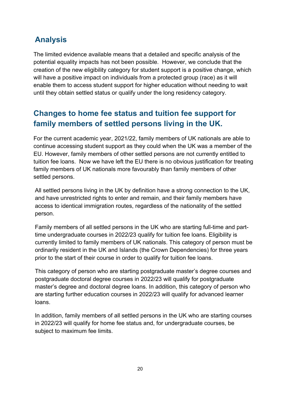# <span id="page-19-0"></span>**Analysis**

The limited evidence available means that a detailed and specific analysis of the potential equality impacts has not been possible. However, we conclude that the creation of the new eligibility category for student support is a positive change, which will have a positive impact on individuals from a protected group (race) as it will enable them to access student support for higher education without needing to wait until they obtain settled status or qualify under the long residency category.

# <span id="page-19-1"></span>**Changes to home fee status and tuition fee support for family members of settled persons living in the UK.**

For the current academic year, 2021/22, family members of UK nationals are able to continue accessing student support as they could when the UK was a member of the EU. However, family members of other settled persons are not currently entitled to tuition fee loans. Now we have left the EU there is no obvious justification for treating family members of UK nationals more favourably than family members of other settled persons.

All settled persons living in the UK by definition have a strong connection to the UK, and have unrestricted rights to enter and remain, and their family members have access to identical immigration routes, regardless of the nationality of the settled person.

Family members of all settled persons in the UK who are starting full-time and parttime undergraduate courses in 2022/23 qualify for tuition fee loans. Eligibility is currently limited to family members of UK nationals. This category of person must be ordinarily resident in the UK and Islands (the Crown Dependencies) for three years prior to the start of their course in order to qualify for tuition fee loans.

This category of person who are starting postgraduate master's degree courses and postgraduate doctoral degree courses in 2022/23 will qualify for postgraduate master's degree and doctoral degree loans. In addition, this category of person who are starting further education courses in 2022/23 will qualify for advanced learner loans.

In addition, family members of all settled persons in the UK who are starting courses in 2022/23 will qualify for home fee status and, for undergraduate courses, be subject to maximum fee limits.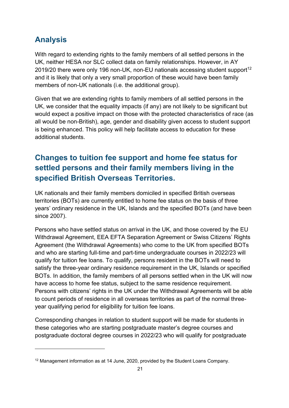# <span id="page-20-0"></span>**Analysis**

With regard to extending rights to the family members of all settled persons in the UK, neither HESA nor SLC collect data on family relationships. However, in AY 2019/20 there were only 196 non-UK, non-EU nationals accessing student support<sup>12</sup> and it is likely that only a very small proportion of these would have been family members of non-UK nationals (i.e. the additional group).

Given that we are extending rights to family members of all settled persons in the UK, we consider that the equality impacts (if any) are not likely to be significant but would expect a positive impact on those with the protected characteristics of race (as all would be non-British), age, gender and disability given access to student support is being enhanced. This policy will help facilitate access to education for these additional students.

# <span id="page-20-1"></span>**Changes to tuition fee support and home fee status for settled persons and their family members living in the specified British Overseas Territories.**

UK nationals and their family members domiciled in specified British overseas territories (BOTs) are currently entitled to home fee status on the basis of three years' ordinary residence in the UK, Islands and the specified BOTs (and have been since 2007).

Persons who have settled status on arrival in the UK, and those covered by the EU Withdrawal Agreement, EEA EFTA Separation Agreement or Swiss Citizens' Rights Agreement (the Withdrawal Agreements) who come to the UK from specified BOTs and who are starting full-time and part-time undergraduate courses in 2022/23 will qualify for tuition fee loans. To qualify, persons resident in the BOTs will need to satisfy the three-year ordinary residence requirement in the UK, Islands or specified BOTs. In addition, the family members of all persons settled when in the UK will now have access to home fee status, subject to the same residence requirement. Persons with citizens' rights in the UK under the Withdrawal Agreements will be able to count periods of residence in all overseas territories as part of the normal threeyear qualifying period for eligibility for tuition fee loans.

Corresponding changes in relation to student support will be made for students in these categories who are starting postgraduate master's degree courses and postgraduate doctoral degree courses in 2022/23 who will qualify for postgraduate

<sup>&</sup>lt;sup>12</sup> Management information as at 14 June, 2020, provided by the Student Loans Company.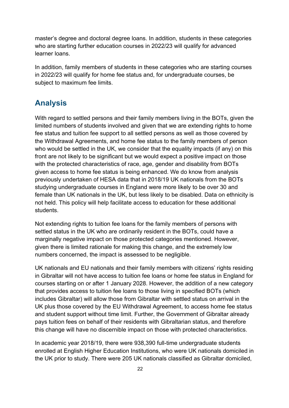master's degree and doctoral degree loans. In addition, students in these categories who are starting further education courses in 2022/23 will qualify for advanced learner loans.

In addition, family members of students in these categories who are starting courses in 2022/23 will qualify for home fee status and, for undergraduate courses, be subject to maximum fee limits.

## <span id="page-21-0"></span>**Analysis**

With regard to settled persons and their family members living in the BOTs, given the limited numbers of students involved and given that we are extending rights to home fee status and tuition fee support to all settled persons as well as those covered by the Withdrawal Agreements, and home fee status to the family members of person who would be settled in the UK, we consider that the equality impacts (if any) on this front are not likely to be significant but we would expect a positive impact on those with the protected characteristics of race, age, gender and disability from BOTs given access to home fee status is being enhanced. We do know from analysis previously undertaken of HESA data that in 2018/19 UK nationals from the BOTs studying undergraduate courses in England were more likely to be over 30 and female than UK nationals in the UK, but less likely to be disabled. Data on ethnicity is not held. This policy will help facilitate access to education for these additional students.

Not extending rights to tuition fee loans for the family members of persons with settled status in the UK who are ordinarily resident in the BOTs, could have a marginally negative impact on those protected categories mentioned. However, given there is limited rationale for making this change, and the extremely low numbers concerned, the impact is assessed to be negligible.

UK nationals and EU nationals and their family members with citizens' rights residing in Gibraltar will not have access to tuition fee loans or home fee status in England for courses starting on or after 1 January 2028. However, the addition of a new category that provides access to tuition fee loans to those living in specified BOTs (which includes Gibraltar) will allow those from Gibraltar with settled status on arrival in the UK plus those covered by the EU Withdrawal Agreement, to access home fee status and student support without time limit. Further, the Government of Gibraltar already pays tuition fees on behalf of their residents with Gibraltarian status, and therefore this change will have no discernible impact on those with protected characteristics.

In academic year 2018/19, there were 938,390 full-time undergraduate students enrolled at English Higher Education Institutions, who were UK nationals domiciled in the UK prior to study. There were 205 UK nationals classified as Gibraltar domiciled,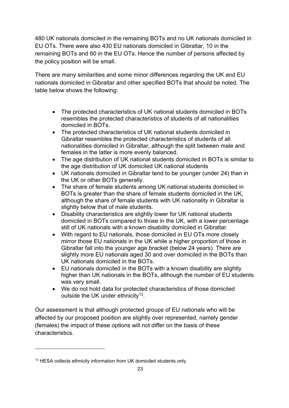480 UK nationals domiciled in the remaining BOTs and no UK nationals domiciled in EU OTs. There were also 430 EU nationals domiciled in Gibraltar, 10 in the remaining BOTs and 60 in the EU OTs. Hence the number of persons affected by the policy position will be small.

There are many similarities and some minor differences regarding the UK and EU nationals domiciled in Gibraltar and other specified BOTs that should be noted. The table below shows the following:

- The protected characteristics of UK national students domiciled in BOTs resembles the protected characteristics of students of all nationalities domiciled in BOTs.
- The protected characteristics of UK national students domiciled in Gibraltar resembles the protected characteristics of students of all nationalities domiciled in Gibraltar, although the split between male and females in the latter is more evenly balanced.
- The age distribution of UK national students domiciled in BOTs is similar to the age distribution of UK domiciled UK national students
- UK nationals domiciled in Gibraltar tend to be younger (under 24) than in the UK or other BOTs generally.
- The share of female students among UK national students domiciled in BOTs is greater than the share of female students domiciled in the UK, although the share of female students with UK nationality in Gibraltar is slightly below that of male students.
- Disability characteristics are slightly lower for UK national students domiciled in BOTs compared to those in the UK, with a lower percentage still of UK nationals with a known disability domiciled in Gibraltar.
- With regard to EU nationals, those domiciled in EU OTs more closely mirror those EU nationals in the UK while a higher proportion of those in Gibraltar fall into the younger age bracket (below 24 years). There are slightly more EU nationals aged 30 and over domiciled in the BOTs than UK nationals domiciled in the BOTs.
- EU nationals domiciled in the BOTs with a known disability are slightly higher than UK nationals in the BOTs, although the number of EU students was very small.
- We do not hold data for protected characteristics of those domiciled outside the UK under ethnicity<sup>13</sup>.

Our assessment is that although protected groups of EU nationals who will be affected by our proposed position are slightly over represented, namely gender (females) the impact of these options will not differ on the basis of these characteristics.

<sup>&</sup>lt;sup>13</sup> HESA collects ethnicity information from UK domiciled students only.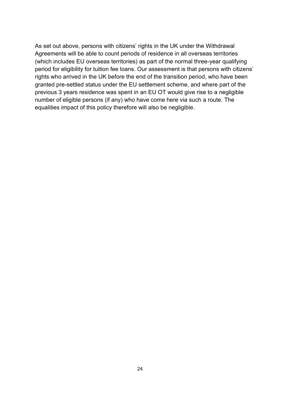As set out above, persons with citizens' rights in the UK under the Withdrawal Agreements will be able to count periods of residence in all overseas territories (which includes EU overseas territories) as part of the normal three-year qualifying period for eligibility for tuition fee loans. Our assessment is that persons with citizens' rights who arrived in the UK before the end of the transition period, who have been granted pre-settled status under the EU settlement scheme, and where part of the previous 3 years residence was spent in an EU OT would give rise to a negligible number of eligible persons (if any) who have come here via such a route. The equalities impact of this policy therefore will also be negligible.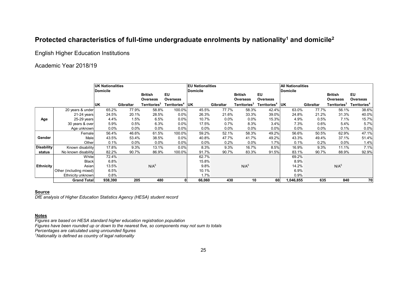#### **Protected characteristics of full-time undergraduate enrolments by nationality<sup>1</sup> and domicile<sup>2</sup>**

English Higher Education Institutions

#### Academic Year 2018/19

|                   |                         | UK Nationalities<br>Domicile |                  |                            |                          | <b>EU Nationalities</b><br><b>Domicile</b> |           |                                   |                          | <b>All Nationalities</b><br>Domicile |           |                            |                          |
|-------------------|-------------------------|------------------------------|------------------|----------------------------|--------------------------|--------------------------------------------|-----------|-----------------------------------|--------------------------|--------------------------------------|-----------|----------------------------|--------------------------|
|                   |                         |                              |                  | <b>British</b><br>Overseas | <b>EU</b><br>Overseas    |                                            |           | <b>British</b><br><b>Overseas</b> | EU<br>Overseas           |                                      |           | <b>British</b><br>Overseas | EU<br>Overseas           |
|                   |                         | <b>UK</b>                    | <b>Gibraltar</b> | Territories <sup>3</sup>   | Territories <sup>4</sup> | <b>IUK</b>                                 | Gibraltar | Territories <sup>3</sup>          | Territories <sup>4</sup> | <b>UK</b>                            | Gibraltar | Territories <sup>3</sup>   | Territories <sup>4</sup> |
|                   | 20 years & under        | 65.2%                        | 77.9%            | 58.8%                      | 100.0%                   | 45.5%                                      | 77.7%     | 58.3%                             | 42.4%                    | 63.0%                                | 77.7%     | 56.1%                      | 38.6%                    |
|                   | $21-24$ years           | 24.5%                        | 20.1%            | 28.5%                      | 0.0%                     | 26.3%                                      | 21.6%     | 33.3%                             | 39.0%                    | 24.8%                                | 21.2%     | 31.3%                      | 40.0%                    |
| Age               | 25-29 years             | 4.4%                         | 1.5%             | 6.5%                       | 0.0%                     | 10.7%                                      | $0.0\%$   | 0.0%                              | 15.3%                    | 4.9%                                 | 0.5%      | 7.1%                       | 15.7%                    |
|                   | 30 years & over         | 5.9%                         | 0.5%             | 6.3%                       | 0.0%                     | 17.5%                                      | 0.7%      | 8.3%                              | 3.4%                     | 7.3%                                 | 0.6%      | 5.4%                       | 5.7%                     |
|                   | Age unknown             | $0.0\%$                      | $0.0\%$          | $0.0\%$                    | 0.0%                     | 0.0%                                       | $0.0\%$   | 0.0%                              | $0.0\%$                  | $0.0\%$                              | $0.0\%$   | 0.1%                       | 0.0%                     |
|                   | Female                  | 56.4%                        | 46.6%            | 61.5%                      | 100.0%                   | 59.2%                                      | 52.1%     | 58.3%                             | 49.2%                    | 56.6%                                | 50.5%     | 62.9%                      | 47.1%                    |
| Gender            | Male                    | 43.5%                        | 53.4%            | 38.5%                      | 0.0%                     | 40.8%                                      | 47.7%     | 41.7%                             | 49.2%                    | 43.3%                                | 49.4%     | 37.1%                      | 51.4%                    |
|                   | Other                   | 0.1%                         | $0.0\%$          | 0.0%                       | 0.0%                     | 0.0%                                       | 0.2%      | 0.0%                              | 1.7%                     | 0.1%                                 | 0.2%      | 0.0%                       | 1.4%                     |
| <b>Disability</b> | Known disability        | 17.8%                        | 9.3%             | 13.1%                      | 0.0%                     | 8.3%                                       | 9.3%      | 16.7%                             | 8.5%                     | 16.9%                                | 9.3%      | 11.1%                      | 7.1%                     |
| status            | No known disability     | 82.2%                        | 90.7%            | 86.9%                      | 100.0%                   | 91.7%                                      | 90.7%     | 83.3%                             | 91.5%                    | 83.1%                                | 90.7%     | 88.9%                      | 92.9%                    |
|                   | White                   | 72.4%                        |                  |                            |                          | 62.7%                                      |           |                                   |                          | 69.2%                                |           |                            |                          |
| <b>Ethnicity</b>  | <b>Black</b>            | 6.8%                         |                  |                            |                          | 15.8%                                      |           |                                   |                          | 8.9%                                 |           |                            |                          |
|                   | Asian                   | 13.5%                        |                  | N/A <sup>5</sup>           |                          | 9.8%                                       |           | N/A <sup>5</sup>                  |                          | 14.2%                                |           | N/A <sup>5</sup>           |                          |
|                   | Other (including mixed) | 6.5%                         |                  |                            |                          | 10.1%                                      |           |                                   |                          | 6.9%                                 |           |                            |                          |
|                   | Ethnicity unknown       | 0.8%                         |                  |                            |                          | 1.7%                                       |           |                                   |                          | 0.9%                                 |           |                            |                          |
|                   | Grand Total             | 938,390                      | 205              | 480                        |                          | 66,060                                     | 430       | 10                                | 60                       | 1,046,855                            | 635       | 840                        | 70                       |

#### **Source**

*DfE analysis of Higher Education Statistics Agency (HESA) student record*

#### **Notes**

*Figures are based on HESA standard higher education registration population Figures have been rounded up or down to the nearest five, so components may not sum to totals Percentages are calculated using unrounded figures*

*<sup>1</sup>Nationality is defined as country of legal nationality*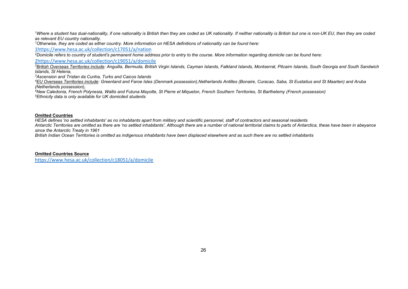<sup>1</sup>Where a student has dual-nationality, if one nationality is British then they are coded as UK nationality. If neither nationality is British but one is non-UK EU, then they are coded *as relevant EU country nationality.*

*<sup>1</sup>Otherwise, they are coded as either country. More information on HESA definitions of nationality can be found here:*

[1https://www.hesa.ac.uk/collection/c17051/a/nation](https://www.hesa.ac.uk/collection/c17051/a/nation)

*<sup>2</sup>Domicile refers to country of student's permanent home address prior to entry to the course. More information regarding domicile can be found here:*

[2https://www.hesa.ac.uk/collection/c19051/a/domicile](https://www.hesa.ac.uk/collection/c19051/a/domicile)

*<sup>3</sup>British Overseas Territories include: Anguilla, Bermuda, British Virgin Islands, Cayman Islands, Falkland Islands, Montserrat, Pitcairn Islands, South Georgia and South Sandwich Islands, St Helena,*

*<sup>3</sup>Ascension and Tristan da Cunha, Turks and Caicos Islands*

*<sup>4</sup>EU Overseas Territories include: Greenland and Faroe Isles (Denmark possession),Netherlands Antilles (Bonaire, Curacao, Saba, St Eustatius and St Maarten) and Aruba (Netherlands possession),* 

*<sup>4</sup>New Caledonia, French Polynesia, Wallis and Futuna Mayotte, St Pierre et Miquelon, French Southern Territories, St Barthelemy (French possession) <sup>5</sup>Ethnicity data is only available for UK domiciled students*

#### **Omitted Countries**

*HESA defines 'no settled inhabitants' as no inhabitants apart from military and scientific personnel, staff of contractors and seasonal residents*

*Antarctic Territories are omitted as there are 'no settled inhabitants'. Although there are a number of national territorial claims to parts of Antarctica, these have been in abeyance since the Antarctic Treaty in 1961*

*British Indian Ocean Territories is omitted as indigenous inhabitants have been displaced elsewhere and as such there are no settled inhabitants*

**Omitted Countries Source** <https://www.hesa.ac.uk/collection/c18051/a/domicile>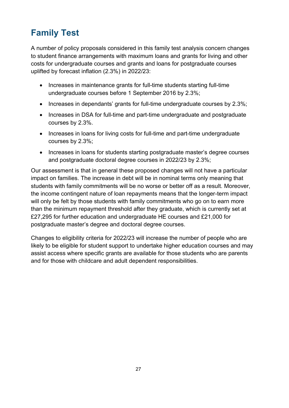# <span id="page-26-0"></span>**Family Test**

A number of policy proposals considered in this family test analysis concern changes to student finance arrangements with maximum loans and grants for living and other costs for undergraduate courses and grants and loans for postgraduate courses uplifted by forecast inflation (2.3%) in 2022/23:

- Increases in maintenance grants for full-time students starting full-time undergraduate courses before 1 September 2016 by 2.3%;
- Increases in dependants' grants for full-time undergraduate courses by 2.3%;
- Increases in DSA for full-time and part-time undergraduate and postgraduate courses by 2.3%.
- Increases in loans for living costs for full-time and part-time undergraduate courses by 2.3%;
- Increases in loans for students starting postgraduate master's degree courses and postgraduate doctoral degree courses in 2022/23 by 2.3%;

Our assessment is that in general these proposed changes will not have a particular impact on families. The increase in debt will be in nominal terms only meaning that students with family commitments will be no worse or better off as a result. Moreover, the income contingent nature of loan repayments means that the longer-term impact will only be felt by those students with family commitments who go on to earn more than the minimum repayment threshold after they graduate, which is currently set at £27,295 for further education and undergraduate HE courses and £21,000 for postgraduate master's degree and doctoral degree courses.

Changes to eligibility criteria for 2022/23 will increase the number of people who are likely to be eligible for student support to undertake higher education courses and may assist access where specific grants are available for those students who are parents and for those with childcare and adult dependent responsibilities.